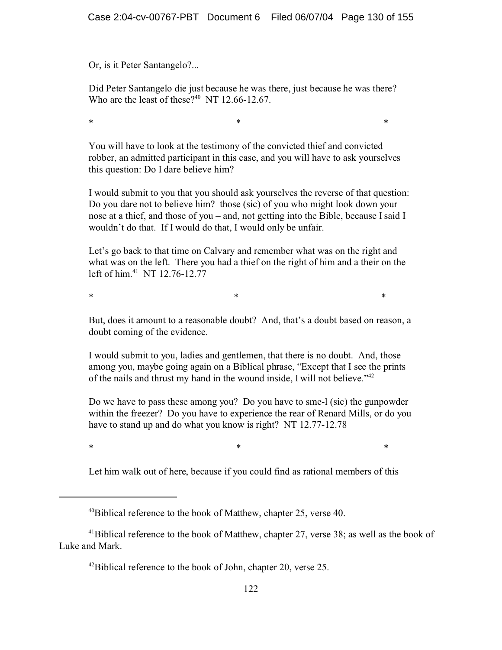Or, is it Peter Santangelo?...

Did Peter Santangelo die just because he was there, just because he was there? Who are the least of these?<sup>40</sup> NT 12.66-12.67.

\* \* \*

You will have to look at the testimony of the convicted thief and convicted robber, an admitted participant in this case, and you will have to ask yourselves this question: Do I dare believe him?

I would submit to you that you should ask yourselves the reverse of that question: Do you dare not to believe him? those (sic) of you who might look down your nose at a thief, and those of you – and, not getting into the Bible, because I said I wouldn't do that. If I would do that, I would only be unfair.

Let's go back to that time on Calvary and remember what was on the right and what was on the left. There you had a thief on the right of him and a their on the left of him.<sup>41</sup> NT 12.76-12.77

 $*$  \*  $*$  \*  $*$ 

But, does it amount to a reasonable doubt? And, that's a doubt based on reason, a doubt coming of the evidence.

I would submit to you, ladies and gentlemen, that there is no doubt. And, those among you, maybe going again on a Biblical phrase, "Except that I see the prints of the nails and thrust my hand in the wound inside, I will not believe."<sup>42</sup>

Do we have to pass these among you? Do you have to sme-l (sic) the gunpowder within the freezer? Do you have to experience the rear of Renard Mills, or do you have to stand up and do what you know is right? NT 12.77-12.78

\* \* \*

Let him walk out of here, because if you could find as rational members of this

 $40$ Biblical reference to the book of Matthew, chapter 25, verse 40.

 $41$ Biblical reference to the book of Matthew, chapter 27, verse 38; as well as the book of Luke and Mark.

 $^{42}$ Biblical reference to the book of John, chapter 20, verse 25.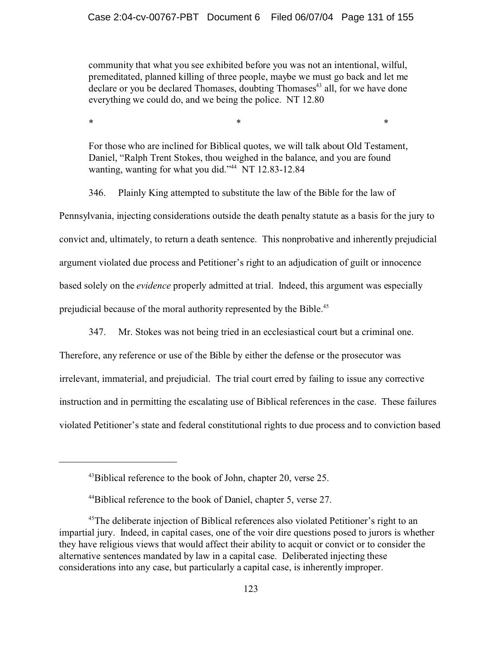community that what you see exhibited before you was not an intentional, wilful, premeditated, planned killing of three people, maybe we must go back and let me declare or you be declared Thomases, doubting Thomases<sup>43</sup> all, for we have done everything we could do, and we being the police. NT 12.80

For those who are inclined for Biblical quotes, we will talk about Old Testament, Daniel, "Ralph Trent Stokes, thou weighed in the balance, and you are found wanting, wanting for what you did."<sup>44</sup> NT 12.83-12.84

\* \* \*

346. Plainly King attempted to substitute the law of the Bible for the law of Pennsylvania, injecting considerations outside the death penalty statute as a basis for the jury to convict and, ultimately, to return a death sentence. This nonprobative and inherently prejudicial argument violated due process and Petitioner's right to an adjudication of guilt or innocence based solely on the *evidence* properly admitted at trial. Indeed, this argument was especially prejudicial because of the moral authority represented by the Bible.<sup>45</sup>

347. Mr. Stokes was not being tried in an ecclesiastical court but a criminal one.

Therefore, any reference or use of the Bible by either the defense or the prosecutor was irrelevant, immaterial, and prejudicial. The trial court erred by failing to issue any corrective instruction and in permitting the escalating use of Biblical references in the case. These failures violated Petitioner's state and federal constitutional rights to due process and to conviction based

 $^{43}$ Biblical reference to the book of John, chapter 20, verse 25.

<sup>44</sup>Biblical reference to the book of Daniel, chapter 5, verse 27.

<sup>&</sup>lt;sup>45</sup>The deliberate injection of Biblical references also violated Petitioner's right to an impartial jury. Indeed, in capital cases, one of the voir dire questions posed to jurors is whether they have religious views that would affect their ability to acquit or convict or to consider the alternative sentences mandated by law in a capital case. Deliberated injecting these considerations into any case, but particularly a capital case, is inherently improper.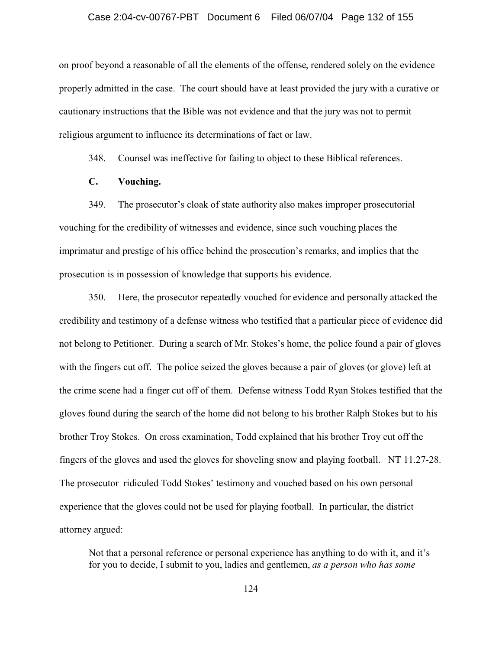#### Case 2:04-cv-00767-PBT Document 6 Filed 06/07/04 Page 132 of 155

on proof beyond a reasonable of all the elements of the offense, rendered solely on the evidence properly admitted in the case. The court should have at least provided the jury with a curative or cautionary instructions that the Bible was not evidence and that the jury was not to permit religious argument to influence its determinations of fact or law.

348. Counsel was ineffective for failing to object to these Biblical references.

### **C. Vouching.**

349. The prosecutor's cloak of state authority also makes improper prosecutorial vouching for the credibility of witnesses and evidence, since such vouching places the imprimatur and prestige of his office behind the prosecution's remarks, and implies that the prosecution is in possession of knowledge that supports his evidence.

350. Here, the prosecutor repeatedly vouched for evidence and personally attacked the credibility and testimony of a defense witness who testified that a particular piece of evidence did not belong to Petitioner. During a search of Mr. Stokes's home, the police found a pair of gloves with the fingers cut off. The police seized the gloves because a pair of gloves (or glove) left at the crime scene had a finger cut off of them. Defense witness Todd Ryan Stokes testified that the gloves found during the search of the home did not belong to his brother Ralph Stokes but to his brother Troy Stokes. On cross examination, Todd explained that his brother Troy cut off the fingers of the gloves and used the gloves for shoveling snow and playing football. NT 11.27-28. The prosecutor ridiculed Todd Stokes' testimony and vouched based on his own personal experience that the gloves could not be used for playing football. In particular, the district attorney argued:

Not that a personal reference or personal experience has anything to do with it, and it's for you to decide, I submit to you, ladies and gentlemen, *as a person who has some*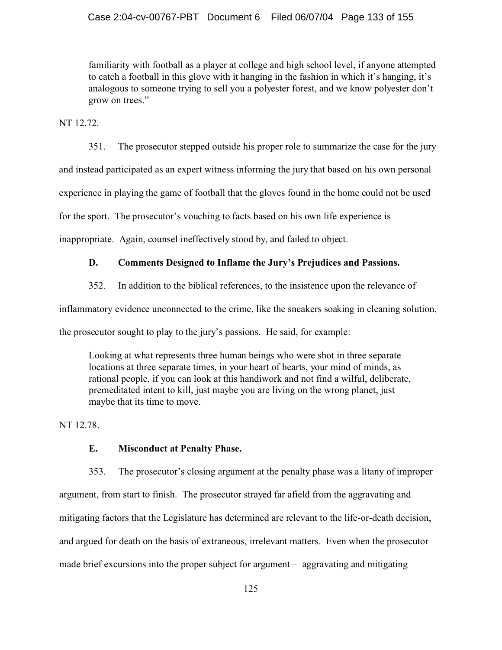familiarity with football as a player at college and high school level, if anyone attempted to catch a football in this glove with it hanging in the fashion in which it's hanging, it's analogous to someone trying to sell you a polyester forest, and we know polyester don't grow on trees."

NT 12.72.

351. The prosecutor stepped outside his proper role to summarize the case for the jury

and instead participated as an expert witness informing the jury that based on his own personal

experience in playing the game of football that the gloves found in the home could not be used

for the sport. The prosecutor's vouching to facts based on his own life experience is

inappropriate. Again, counsel ineffectively stood by, and failed to object.

## **D. Comments Designed to Inflame the Jury's Prejudices and Passions.**

352. In addition to the biblical references, to the insistence upon the relevance of

inflammatory evidence unconnected to the crime, like the sneakers soaking in cleaning solution,

the prosecutor sought to play to the jury's passions. He said, for example:

Looking at what represents three human beings who were shot in three separate locations at three separate times, in your heart of hearts, your mind of minds, as rational people, if you can look at this handiwork and not find a wilful, deliberate, premeditated intent to kill, just maybe you are living on the wrong planet, just maybe that its time to move.

NT 12.78.

# **E. Misconduct at Penalty Phase.**

353. The prosecutor's closing argument at the penalty phase was a litany of improper argument, from start to finish. The prosecutor strayed far afield from the aggravating and mitigating factors that the Legislature has determined are relevant to the life-or-death decision, and argued for death on the basis of extraneous, irrelevant matters. Even when the prosecutor made brief excursions into the proper subject for argument – aggravating and mitigating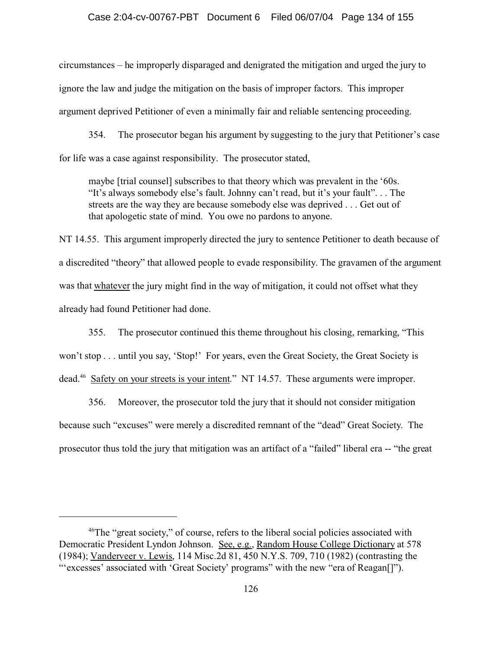circumstances – he improperly disparaged and denigrated the mitigation and urged the jury to ignore the law and judge the mitigation on the basis of improper factors. This improper argument deprived Petitioner of even a minimally fair and reliable sentencing proceeding.

354. The prosecutor began his argument by suggesting to the jury that Petitioner's case for life was a case against responsibility. The prosecutor stated,

maybe [trial counsel] subscribes to that theory which was prevalent in the '60s. "It's always somebody else's fault. Johnny can't read, but it's your fault". . . The streets are the way they are because somebody else was deprived . . . Get out of that apologetic state of mind. You owe no pardons to anyone.

NT 14.55. This argument improperly directed the jury to sentence Petitioner to death because of a discredited "theory" that allowed people to evade responsibility. The gravamen of the argument was that whatever the jury might find in the way of mitigation, it could not offset what they already had found Petitioner had done.

355. The prosecutor continued this theme throughout his closing, remarking, "This won't stop . . . until you say, 'Stop!' For years, even the Great Society, the Great Society is dead.<sup>46</sup> Safety on your streets is your intent." NT 14.57. These arguments were improper.

356. Moreover, the prosecutor told the jury that it should not consider mitigation because such "excuses" were merely a discredited remnant of the "dead" Great Society. The prosecutor thus told the jury that mitigation was an artifact of a "failed" liberal era -- "the great

<sup>&</sup>lt;sup>46</sup>The "great society," of course, refers to the liberal social policies associated with Democratic President Lyndon Johnson. See, e.g., Random House College Dictionary at 578 (1984); Vanderveer v. Lewis, 114 Misc.2d 81, 450 N.Y.S. 709, 710 (1982) (contrasting the "'excesses' associated with 'Great Society' programs" with the new "era of Reagan[]").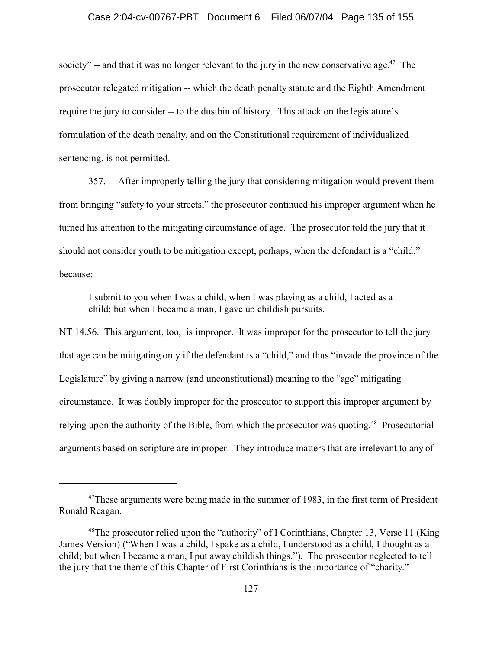#### Case 2:04-cv-00767-PBT Document 6 Filed 06/07/04 Page 135 of 155

society" -- and that it was no longer relevant to the jury in the new conservative age.<sup>47</sup> The prosecutor relegated mitigation -- which the death penalty statute and the Eighth Amendment require the jury to consider -- to the dustbin of history. This attack on the legislature's formulation of the death penalty, and on the Constitutional requirement of individualized sentencing, is not permitted.

357. After improperly telling the jury that considering mitigation would prevent them from bringing "safety to your streets," the prosecutor continued his improper argument when he turned his attention to the mitigating circumstance of age. The prosecutor told the jury that it should not consider youth to be mitigation except, perhaps, when the defendant is a "child," because:

I submit to you when I was a child, when I was playing as a child, I acted as a child; but when I became a man, I gave up childish pursuits.

NT 14.56. This argument, too, is improper. It was improper for the prosecutor to tell the jury that age can be mitigating only if the defendant is a "child," and thus "invade the province of the Legislature" by giving a narrow (and unconstitutional) meaning to the "age" mitigating circumstance. It was doubly improper for the prosecutor to support this improper argument by relying upon the authority of the Bible, from which the prosecutor was quoting.<sup>48</sup> Prosecutorial arguments based on scripture are improper. They introduce matters that are irrelevant to any of

<sup>&</sup>lt;sup>47</sup>These arguments were being made in the summer of 1983, in the first term of President Ronald Reagan.

<sup>&</sup>lt;sup>48</sup>The prosecutor relied upon the "authority" of I Corinthians, Chapter 13, Verse 11 (King James Version) ("When I was a child, I spake as a child, I understood as a child, I thought as a child; but when I became a man, I put away childish things."). The prosecutor neglected to tell the jury that the theme of this Chapter of First Corinthians is the importance of "charity."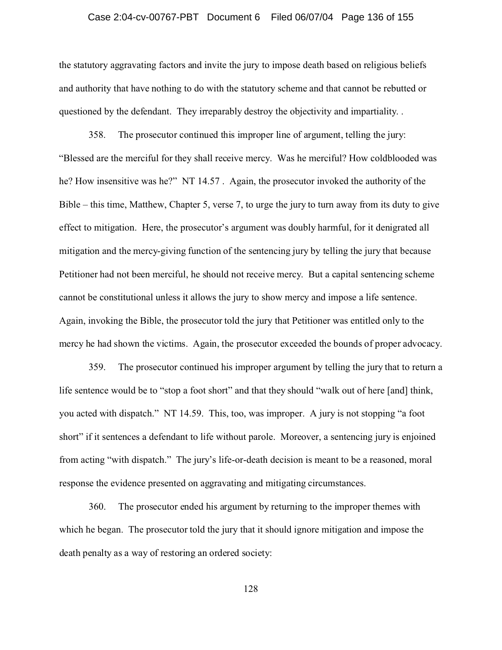#### Case 2:04-cv-00767-PBT Document 6 Filed 06/07/04 Page 136 of 155

the statutory aggravating factors and invite the jury to impose death based on religious beliefs and authority that have nothing to do with the statutory scheme and that cannot be rebutted or questioned by the defendant. They irreparably destroy the objectivity and impartiality. .

358. The prosecutor continued this improper line of argument, telling the jury: "Blessed are the merciful for they shall receive mercy. Was he merciful? How coldblooded was he? How insensitive was he?" NT 14.57 . Again, the prosecutor invoked the authority of the Bible – this time, Matthew, Chapter 5, verse 7, to urge the jury to turn away from its duty to give effect to mitigation. Here, the prosecutor's argument was doubly harmful, for it denigrated all mitigation and the mercy-giving function of the sentencing jury by telling the jury that because Petitioner had not been merciful, he should not receive mercy. But a capital sentencing scheme cannot be constitutional unless it allows the jury to show mercy and impose a life sentence. Again, invoking the Bible, the prosecutor told the jury that Petitioner was entitled only to the mercy he had shown the victims. Again, the prosecutor exceeded the bounds of proper advocacy.

359. The prosecutor continued his improper argument by telling the jury that to return a life sentence would be to "stop a foot short" and that they should "walk out of here [and] think, you acted with dispatch." NT 14.59. This, too, was improper. A jury is not stopping "a foot short" if it sentences a defendant to life without parole. Moreover, a sentencing jury is enjoined from acting "with dispatch." The jury's life-or-death decision is meant to be a reasoned, moral response the evidence presented on aggravating and mitigating circumstances.

360. The prosecutor ended his argument by returning to the improper themes with which he began. The prosecutor told the jury that it should ignore mitigation and impose the death penalty as a way of restoring an ordered society: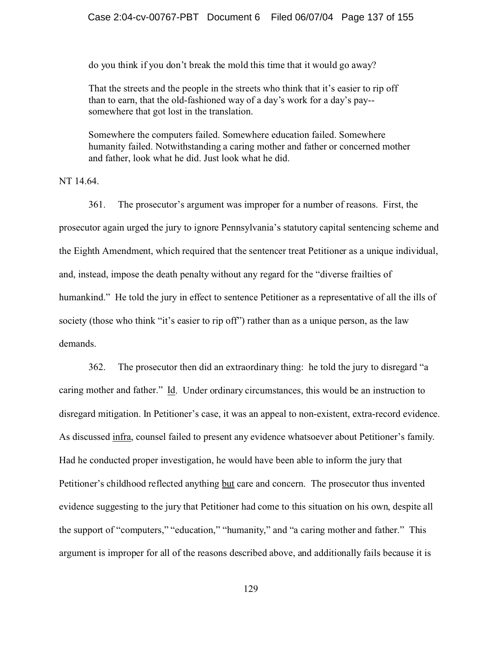do you think if you don't break the mold this time that it would go away?

That the streets and the people in the streets who think that it's easier to rip off than to earn, that the old-fashioned way of a day's work for a day's pay- somewhere that got lost in the translation.

Somewhere the computers failed. Somewhere education failed. Somewhere humanity failed. Notwithstanding a caring mother and father or concerned mother and father, look what he did. Just look what he did.

NT 14.64.

361. The prosecutor's argument was improper for a number of reasons. First, the prosecutor again urged the jury to ignore Pennsylvania's statutory capital sentencing scheme and the Eighth Amendment, which required that the sentencer treat Petitioner as a unique individual, and, instead, impose the death penalty without any regard for the "diverse frailties of humankind." He told the jury in effect to sentence Petitioner as a representative of all the ills of society (those who think "it's easier to rip off") rather than as a unique person, as the law demands.

362. The prosecutor then did an extraordinary thing: he told the jury to disregard "a caring mother and father." Id. Under ordinary circumstances, this would be an instruction to disregard mitigation. In Petitioner's case, it was an appeal to non-existent, extra-record evidence. As discussed infra, counsel failed to present any evidence whatsoever about Petitioner's family. Had he conducted proper investigation, he would have been able to inform the jury that Petitioner's childhood reflected anything but care and concern. The prosecutor thus invented evidence suggesting to the jury that Petitioner had come to this situation on his own, despite all the support of "computers," "education," "humanity," and "a caring mother and father." This argument is improper for all of the reasons described above, and additionally fails because it is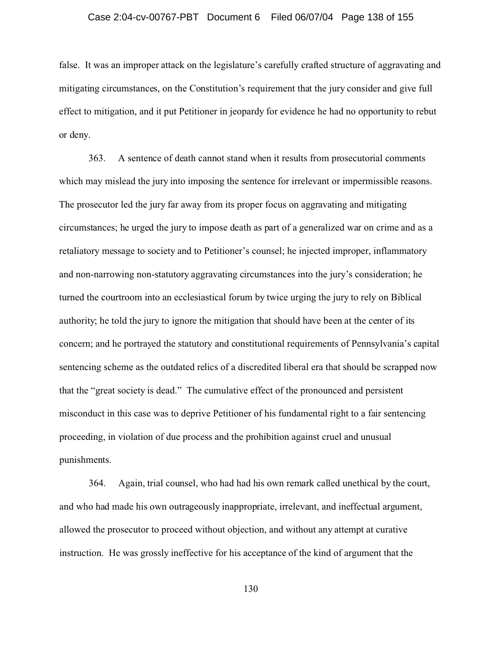#### Case 2:04-cv-00767-PBT Document 6 Filed 06/07/04 Page 138 of 155

false. It was an improper attack on the legislature's carefully crafted structure of aggravating and mitigating circumstances, on the Constitution's requirement that the jury consider and give full effect to mitigation, and it put Petitioner in jeopardy for evidence he had no opportunity to rebut or deny.

363. A sentence of death cannot stand when it results from prosecutorial comments which may mislead the jury into imposing the sentence for irrelevant or impermissible reasons. The prosecutor led the jury far away from its proper focus on aggravating and mitigating circumstances; he urged the jury to impose death as part of a generalized war on crime and as a retaliatory message to society and to Petitioner's counsel; he injected improper, inflammatory and non-narrowing non-statutory aggravating circumstances into the jury's consideration; he turned the courtroom into an ecclesiastical forum by twice urging the jury to rely on Biblical authority; he told the jury to ignore the mitigation that should have been at the center of its concern; and he portrayed the statutory and constitutional requirements of Pennsylvania's capital sentencing scheme as the outdated relics of a discredited liberal era that should be scrapped now that the "great society is dead." The cumulative effect of the pronounced and persistent misconduct in this case was to deprive Petitioner of his fundamental right to a fair sentencing proceeding, in violation of due process and the prohibition against cruel and unusual punishments.

364. Again, trial counsel, who had had his own remark called unethical by the court, and who had made his own outrageously inappropriate, irrelevant, and ineffectual argument, allowed the prosecutor to proceed without objection, and without any attempt at curative instruction. He was grossly ineffective for his acceptance of the kind of argument that the

130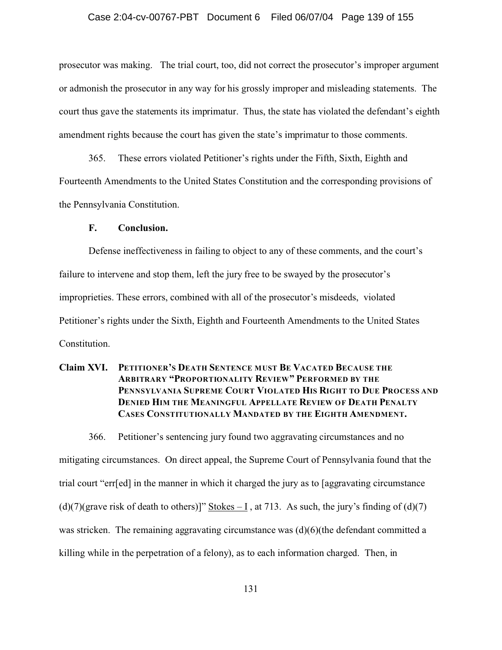#### Case 2:04-cv-00767-PBT Document 6 Filed 06/07/04 Page 139 of 155

prosecutor was making. The trial court, too, did not correct the prosecutor's improper argument or admonish the prosecutor in any way for his grossly improper and misleading statements. The court thus gave the statements its imprimatur. Thus, the state has violated the defendant's eighth amendment rights because the court has given the state's imprimatur to those comments.

365. These errors violated Petitioner's rights under the Fifth, Sixth, Eighth and Fourteenth Amendments to the United States Constitution and the corresponding provisions of the Pennsylvania Constitution.

#### **F. Conclusion.**

Defense ineffectiveness in failing to object to any of these comments, and the court's failure to intervene and stop them, left the jury free to be swayed by the prosecutor's improprieties. These errors, combined with all of the prosecutor's misdeeds, violated Petitioner's rights under the Sixth, Eighth and Fourteenth Amendments to the United States Constitution.

## **Claim XVI. PETITIONER'S DEATH SENTENCE MUST BE VACATED BECAUSE THE ARBITRARY "PROPORTIONALITY REVIEW" PERFORMED BY THE PENNSYLVANIA SUPREME COURT VIOLATED HIS RIGHT TO DUE PROCESS AND DENIED HIM THE MEANINGFUL APPELLATE REVIEW OF DEATH PENALTY CASES CONSTITUTIONALLY MANDATED BY THE EIGHTH AMENDMENT.**

366. Petitioner's sentencing jury found two aggravating circumstances and no mitigating circumstances. On direct appeal, the Supreme Court of Pennsylvania found that the trial court "err[ed] in the manner in which it charged the jury as to [aggravating circumstance (d)(7)(grave risk of death to others)]" Stokes – I, at 713. As such, the jury's finding of (d)(7) was stricken. The remaining aggravating circumstance was  $(d)(6)$ (the defendant committed a killing while in the perpetration of a felony), as to each information charged. Then, in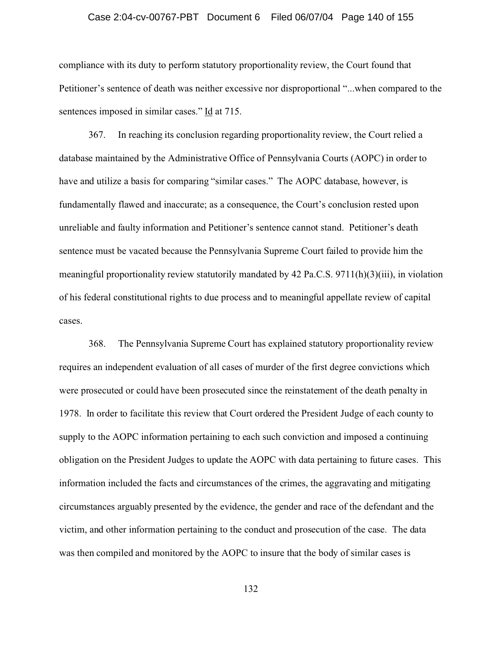#### Case 2:04-cv-00767-PBT Document 6 Filed 06/07/04 Page 140 of 155

compliance with its duty to perform statutory proportionality review, the Court found that Petitioner's sentence of death was neither excessive nor disproportional "...when compared to the sentences imposed in similar cases." Id at 715.

367. In reaching its conclusion regarding proportionality review, the Court relied a database maintained by the Administrative Office of Pennsylvania Courts (AOPC) in order to have and utilize a basis for comparing "similar cases." The AOPC database, however, is fundamentally flawed and inaccurate; as a consequence, the Court's conclusion rested upon unreliable and faulty information and Petitioner's sentence cannot stand. Petitioner's death sentence must be vacated because the Pennsylvania Supreme Court failed to provide him the meaningful proportionality review statutorily mandated by 42 Pa.C.S. 9711(h)(3)(iii), in violation of his federal constitutional rights to due process and to meaningful appellate review of capital cases.

368. The Pennsylvania Supreme Court has explained statutory proportionality review requires an independent evaluation of all cases of murder of the first degree convictions which were prosecuted or could have been prosecuted since the reinstatement of the death penalty in 1978. In order to facilitate this review that Court ordered the President Judge of each county to supply to the AOPC information pertaining to each such conviction and imposed a continuing obligation on the President Judges to update the AOPC with data pertaining to future cases. This information included the facts and circumstances of the crimes, the aggravating and mitigating circumstances arguably presented by the evidence, the gender and race of the defendant and the victim, and other information pertaining to the conduct and prosecution of the case. The data was then compiled and monitored by the AOPC to insure that the body of similar cases is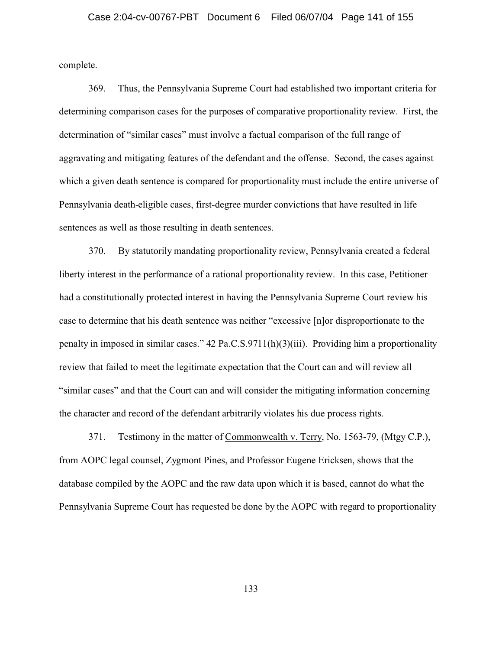complete.

369. Thus, the Pennsylvania Supreme Court had established two important criteria for determining comparison cases for the purposes of comparative proportionality review. First, the determination of "similar cases" must involve a factual comparison of the full range of aggravating and mitigating features of the defendant and the offense. Second, the cases against which a given death sentence is compared for proportionality must include the entire universe of Pennsylvania death-eligible cases, first-degree murder convictions that have resulted in life sentences as well as those resulting in death sentences.

370. By statutorily mandating proportionality review, Pennsylvania created a federal liberty interest in the performance of a rational proportionality review. In this case, Petitioner had a constitutionally protected interest in having the Pennsylvania Supreme Court review his case to determine that his death sentence was neither "excessive [n]or disproportionate to the penalty in imposed in similar cases." 42 Pa.C.S.9711(h)(3)(iii). Providing him a proportionality review that failed to meet the legitimate expectation that the Court can and will review all "similar cases" and that the Court can and will consider the mitigating information concerning the character and record of the defendant arbitrarily violates his due process rights.

371. Testimony in the matter of Commonwealth v. Terry, No. 1563-79, (Mtgy C.P.), from AOPC legal counsel, Zygmont Pines, and Professor Eugene Ericksen, shows that the database compiled by the AOPC and the raw data upon which it is based, cannot do what the Pennsylvania Supreme Court has requested be done by the AOPC with regard to proportionality

133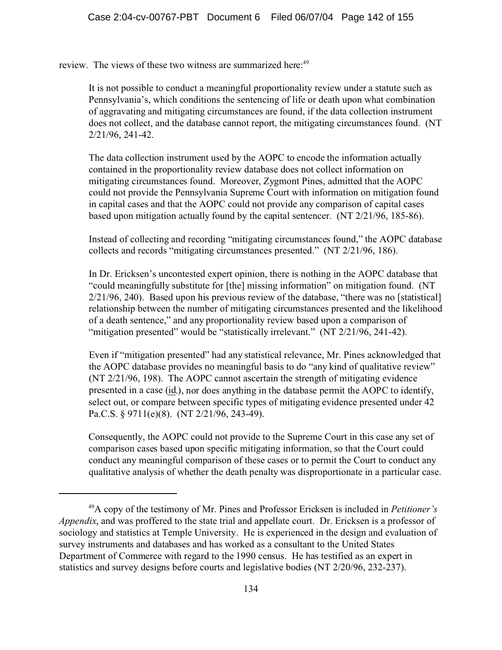review. The views of these two witness are summarized here:<sup>49</sup>

It is not possible to conduct a meaningful proportionality review under a statute such as Pennsylvania's, which conditions the sentencing of life or death upon what combination of aggravating and mitigating circumstances are found, if the data collection instrument does not collect, and the database cannot report, the mitigating circumstances found. (NT 2/21/96, 241-42.

The data collection instrument used by the AOPC to encode the information actually contained in the proportionality review database does not collect information on mitigating circumstances found. Moreover, Zygmont Pines, admitted that the AOPC could not provide the Pennsylvania Supreme Court with information on mitigation found in capital cases and that the AOPC could not provide any comparison of capital cases based upon mitigation actually found by the capital sentencer. (NT 2/21/96, 185-86).

Instead of collecting and recording "mitigating circumstances found," the AOPC database collects and records "mitigating circumstances presented." (NT 2/21/96, 186).

In Dr. Ericksen's uncontested expert opinion, there is nothing in the AOPC database that "could meaningfully substitute for [the] missing information" on mitigation found. (NT 2/21/96, 240). Based upon his previous review of the database, "there was no [statistical] relationship between the number of mitigating circumstances presented and the likelihood of a death sentence," and any proportionality review based upon a comparison of "mitigation presented" would be "statistically irrelevant." (NT 2/21/96, 241-42).

Even if "mitigation presented" had any statistical relevance, Mr. Pines acknowledged that the AOPC database provides no meaningful basis to do "any kind of qualitative review" (NT 2/21/96, 198). The AOPC cannot ascertain the strength of mitigating evidence presented in a case (id.), nor does anything in the database permit the AOPC to identify, select out, or compare between specific types of mitigating evidence presented under 42 Pa.C.S. § 9711(e)(8). (NT 2/21/96, 243-49).

Consequently, the AOPC could not provide to the Supreme Court in this case any set of comparison cases based upon specific mitigating information, so that the Court could conduct any meaningful comparison of these cases or to permit the Court to conduct any qualitative analysis of whether the death penalty was disproportionate in a particular case.

<sup>49</sup>A copy of the testimony of Mr. Pines and Professor Ericksen is included in *Petitioner's Appendix*, and was proffered to the state trial and appellate court. Dr. Ericksen is a professor of sociology and statistics at Temple University. He is experienced in the design and evaluation of survey instruments and databases and has worked as a consultant to the United States Department of Commerce with regard to the 1990 census. He has testified as an expert in statistics and survey designs before courts and legislative bodies (NT 2/20/96, 232-237).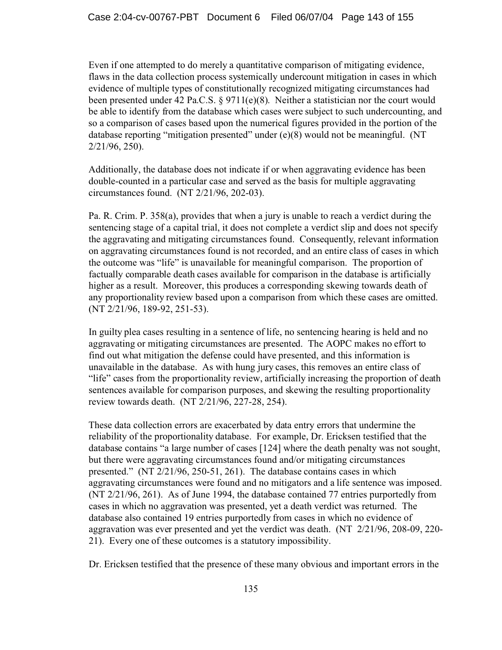Even if one attempted to do merely a quantitative comparison of mitigating evidence, flaws in the data collection process systemically undercount mitigation in cases in which evidence of multiple types of constitutionally recognized mitigating circumstances had been presented under 42 Pa.C.S. § 9711(e)(8). Neither a statistician nor the court would be able to identify from the database which cases were subject to such undercounting, and so a comparison of cases based upon the numerical figures provided in the portion of the database reporting "mitigation presented" under (e)(8) would not be meaningful. (NT 2/21/96, 250).

Additionally, the database does not indicate if or when aggravating evidence has been double-counted in a particular case and served as the basis for multiple aggravating circumstances found. (NT 2/21/96, 202-03).

Pa. R. Crim. P. 358(a), provides that when a jury is unable to reach a verdict during the sentencing stage of a capital trial, it does not complete a verdict slip and does not specify the aggravating and mitigating circumstances found. Consequently, relevant information on aggravating circumstances found is not recorded, and an entire class of cases in which the outcome was "life" is unavailable for meaningful comparison. The proportion of factually comparable death cases available for comparison in the database is artificially higher as a result. Moreover, this produces a corresponding skewing towards death of any proportionality review based upon a comparison from which these cases are omitted. (NT 2/21/96, 189-92, 251-53).

In guilty plea cases resulting in a sentence of life, no sentencing hearing is held and no aggravating or mitigating circumstances are presented. The AOPC makes no effort to find out what mitigation the defense could have presented, and this information is unavailable in the database. As with hung jury cases, this removes an entire class of "life" cases from the proportionality review, artificially increasing the proportion of death sentences available for comparison purposes, and skewing the resulting proportionality review towards death. (NT 2/21/96, 227-28, 254).

These data collection errors are exacerbated by data entry errors that undermine the reliability of the proportionality database. For example, Dr. Ericksen testified that the database contains "a large number of cases [124] where the death penalty was not sought, but there were aggravating circumstances found and/or mitigating circumstances presented." (NT 2/21/96, 250-51, 261). The database contains cases in which aggravating circumstances were found and no mitigators and a life sentence was imposed. (NT 2/21/96, 261). As of June 1994, the database contained 77 entries purportedly from cases in which no aggravation was presented, yet a death verdict was returned. The database also contained 19 entries purportedly from cases in which no evidence of aggravation was ever presented and yet the verdict was death. (NT 2/21/96, 208-09, 220- 21). Every one of these outcomes is a statutory impossibility.

Dr. Ericksen testified that the presence of these many obvious and important errors in the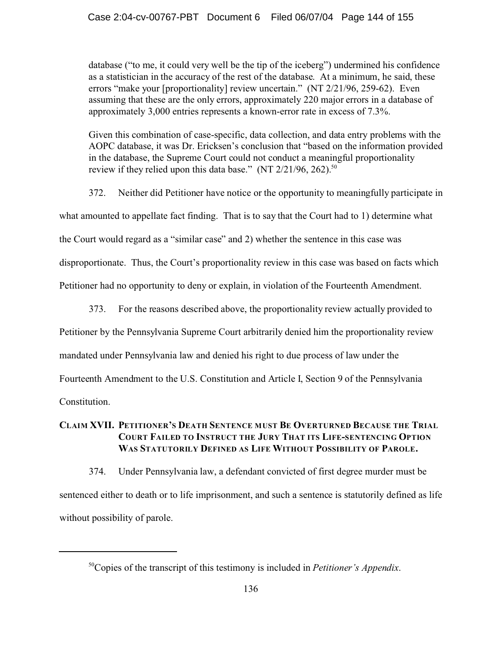database ("to me, it could very well be the tip of the iceberg") undermined his confidence as a statistician in the accuracy of the rest of the database. At a minimum, he said, these errors "make your [proportionality] review uncertain." (NT 2/21/96, 259-62). Even assuming that these are the only errors, approximately 220 major errors in a database of approximately 3,000 entries represents a known-error rate in excess of 7.3%.

Given this combination of case-specific, data collection, and data entry problems with the AOPC database, it was Dr. Ericksen's conclusion that "based on the information provided in the database, the Supreme Court could not conduct a meaningful proportionality review if they relied upon this data base." (NT  $2/21/96$ ,  $262$ ).<sup>50</sup>

372. Neither did Petitioner have notice or the opportunity to meaningfully participate in what amounted to appellate fact finding. That is to say that the Court had to 1) determine what the Court would regard as a "similar case" and 2) whether the sentence in this case was disproportionate. Thus, the Court's proportionality review in this case was based on facts which Petitioner had no opportunity to deny or explain, in violation of the Fourteenth Amendment.

373. For the reasons described above, the proportionality review actually provided to

Petitioner by the Pennsylvania Supreme Court arbitrarily denied him the proportionality review

mandated under Pennsylvania law and denied his right to due process of law under the

Fourteenth Amendment to the U.S. Constitution and Article I, Section 9 of the Pennsylvania

Constitution.

## **CLAIM XVII. PETITIONER'S DEATH SENTENCE MUST BE OVERTURNED BECAUSE THE TRIAL COURT FAILED TO INSTRUCT THE JURY THAT ITS LIFE-SENTENCING OPTION WAS STATUTORILY DEFINED AS LIFE WITHOUT POSSIBILITY OF PAROLE.**

374. Under Pennsylvania law, a defendant convicted of first degree murder must be sentenced either to death or to life imprisonment, and such a sentence is statutorily defined as life without possibility of parole.

<sup>50</sup>Copies of the transcript of this testimony is included in *Petitioner's Appendix*.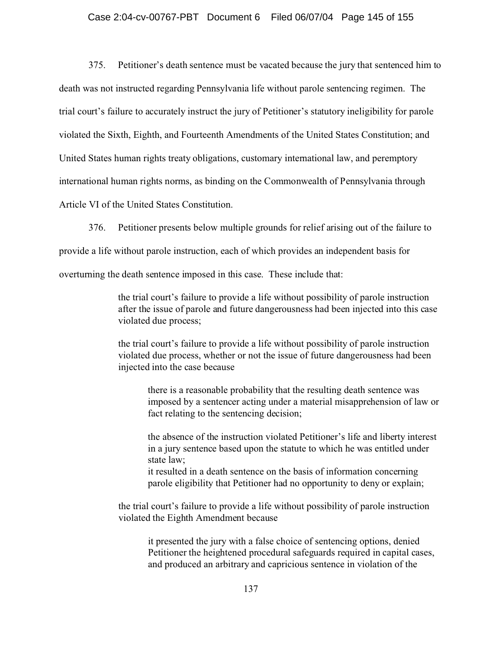### Case 2:04-cv-00767-PBT Document 6 Filed 06/07/04 Page 145 of 155

375. Petitioner's death sentence must be vacated because the jury that sentenced him to death was not instructed regarding Pennsylvania life without parole sentencing regimen. The trial court's failure to accurately instruct the jury of Petitioner's statutory ineligibility for parole violated the Sixth, Eighth, and Fourteenth Amendments of the United States Constitution; and United States human rights treaty obligations, customary international law, and peremptory international human rights norms, as binding on the Commonwealth of Pennsylvania through

Article VI of the United States Constitution.

376. Petitioner presents below multiple grounds for relief arising out of the failure to

provide a life without parole instruction, each of which provides an independent basis for

overturning the death sentence imposed in this case. These include that:

the trial court's failure to provide a life without possibility of parole instruction after the issue of parole and future dangerousness had been injected into this case violated due process;

the trial court's failure to provide a life without possibility of parole instruction violated due process, whether or not the issue of future dangerousness had been injected into the case because

there is a reasonable probability that the resulting death sentence was imposed by a sentencer acting under a material misapprehension of law or fact relating to the sentencing decision;

the absence of the instruction violated Petitioner's life and liberty interest in a jury sentence based upon the statute to which he was entitled under state law;

it resulted in a death sentence on the basis of information concerning parole eligibility that Petitioner had no opportunity to deny or explain;

the trial court's failure to provide a life without possibility of parole instruction violated the Eighth Amendment because

it presented the jury with a false choice of sentencing options, denied Petitioner the heightened procedural safeguards required in capital cases, and produced an arbitrary and capricious sentence in violation of the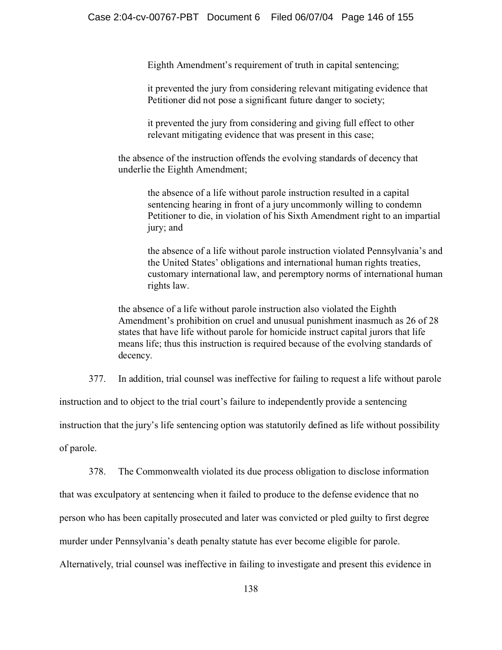Eighth Amendment's requirement of truth in capital sentencing;

 it prevented the jury from considering relevant mitigating evidence that Petitioner did not pose a significant future danger to society;

it prevented the jury from considering and giving full effect to other relevant mitigating evidence that was present in this case;

the absence of the instruction offends the evolving standards of decency that underlie the Eighth Amendment;

the absence of a life without parole instruction resulted in a capital sentencing hearing in front of a jury uncommonly willing to condemn Petitioner to die, in violation of his Sixth Amendment right to an impartial jury; and

the absence of a life without parole instruction violated Pennsylvania's and the United States' obligations and international human rights treaties, customary international law, and peremptory norms of international human rights law.

the absence of a life without parole instruction also violated the Eighth Amendment's prohibition on cruel and unusual punishment inasmuch as 26 of 28 states that have life without parole for homicide instruct capital jurors that life means life; thus this instruction is required because of the evolving standards of decency.

377. In addition, trial counsel was ineffective for failing to request a life without parole

instruction and to object to the trial court's failure to independently provide a sentencing

instruction that the jury's life sentencing option was statutorily defined as life without possibility

of parole.

378. The Commonwealth violated its due process obligation to disclose information

that was exculpatory at sentencing when it failed to produce to the defense evidence that no

person who has been capitally prosecuted and later was convicted or pled guilty to first degree

murder under Pennsylvania's death penalty statute has ever become eligible for parole.

Alternatively, trial counsel was ineffective in failing to investigate and present this evidence in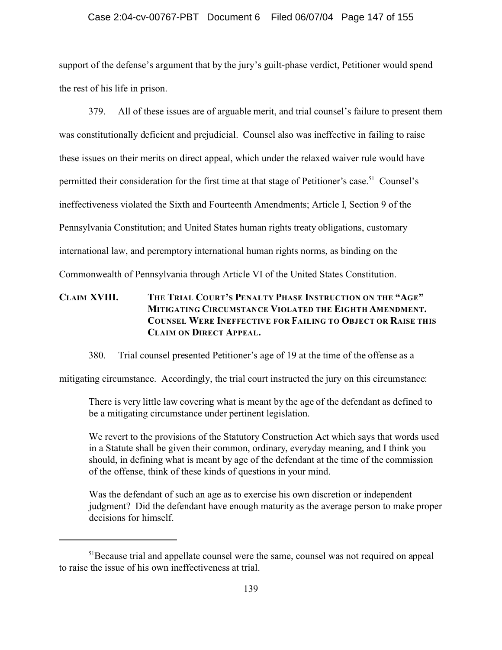### Case 2:04-cv-00767-PBT Document 6 Filed 06/07/04 Page 147 of 155

support of the defense's argument that by the jury's guilt-phase verdict, Petitioner would spend the rest of his life in prison.

379. All of these issues are of arguable merit, and trial counsel's failure to present them was constitutionally deficient and prejudicial. Counsel also was ineffective in failing to raise these issues on their merits on direct appeal, which under the relaxed waiver rule would have permitted their consideration for the first time at that stage of Petitioner's case.<sup>51</sup> Counsel's ineffectiveness violated the Sixth and Fourteenth Amendments; Article I, Section 9 of the Pennsylvania Constitution; and United States human rights treaty obligations, customary international law, and peremptory international human rights norms, as binding on the Commonwealth of Pennsylvania through Article VI of the United States Constitution.

## **CLAIM XVIII. THE TRIAL COURT'S PENALTY PHASE INSTRUCTION ON THE "AGE" MITIGATING CIRCUMSTANCE VIOLATED THE EIGHTH AMENDMENT. COUNSEL WERE INEFFECTIVE FOR FAILING TO OBJECT OR RAISE THIS CLAIM ON DIRECT APPEAL.**

380. Trial counsel presented Petitioner's age of 19 at the time of the offense as a

mitigating circumstance. Accordingly, the trial court instructed the jury on this circumstance:

There is very little law covering what is meant by the age of the defendant as defined to be a mitigating circumstance under pertinent legislation.

We revert to the provisions of the Statutory Construction Act which says that words used in a Statute shall be given their common, ordinary, everyday meaning, and I think you should, in defining what is meant by age of the defendant at the time of the commission of the offense, think of these kinds of questions in your mind.

Was the defendant of such an age as to exercise his own discretion or independent judgment? Did the defendant have enough maturity as the average person to make proper decisions for himself.

<sup>&</sup>lt;sup>51</sup>Because trial and appellate counsel were the same, counsel was not required on appeal to raise the issue of his own ineffectiveness at trial.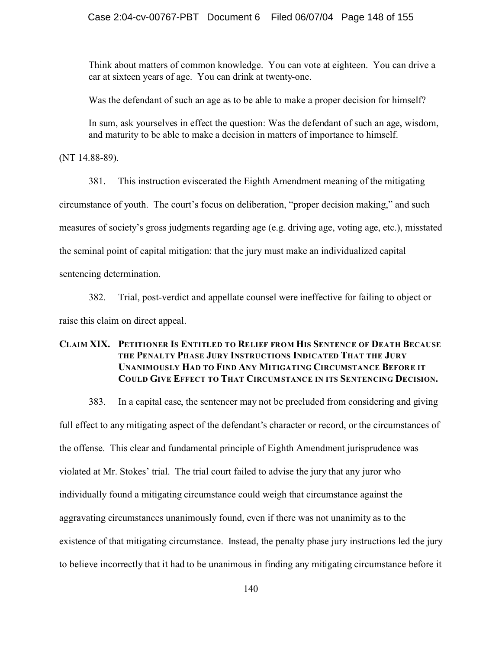Think about matters of common knowledge. You can vote at eighteen. You can drive a car at sixteen years of age. You can drink at twenty-one.

Was the defendant of such an age as to be able to make a proper decision for himself?

In sum, ask yourselves in effect the question: Was the defendant of such an age, wisdom, and maturity to be able to make a decision in matters of importance to himself.

(NT 14.88-89).

381. This instruction eviscerated the Eighth Amendment meaning of the mitigating circumstance of youth. The court's focus on deliberation, "proper decision making," and such measures of society's gross judgments regarding age (e.g. driving age, voting age, etc.), misstated the seminal point of capital mitigation: that the jury must make an individualized capital sentencing determination.

382. Trial, post-verdict and appellate counsel were ineffective for failing to object or raise this claim on direct appeal.

### **CLAIM XIX. PETITIONER IS ENTITLED TO RELIEF FROM HIS SENTENCE OF DEATH BECAUSE THE PENALTY PHASE JURY INSTRUCTIONS INDICATED THAT THE JURY UNANIMOUSLY HAD TO FIND ANY MITIGATING CIRCUMSTANCE BEFORE IT COULD GIVE EFFECT TO THAT CIRCUMSTANCE IN ITS SENTENCING DECISION.**

383. In a capital case, the sentencer may not be precluded from considering and giving full effect to any mitigating aspect of the defendant's character or record, or the circumstances of the offense. This clear and fundamental principle of Eighth Amendment jurisprudence was violated at Mr. Stokes' trial. The trial court failed to advise the jury that any juror who individually found a mitigating circumstance could weigh that circumstance against the aggravating circumstances unanimously found, even if there was not unanimity as to the existence of that mitigating circumstance. Instead, the penalty phase jury instructions led the jury to believe incorrectly that it had to be unanimous in finding any mitigating circumstance before it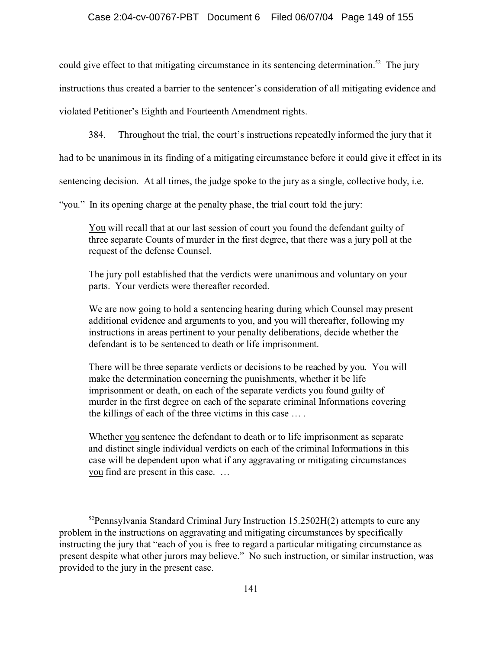could give effect to that mitigating circumstance in its sentencing determination.<sup>52</sup> The jury instructions thus created a barrier to the sentencer's consideration of all mitigating evidence and violated Petitioner's Eighth and Fourteenth Amendment rights.

384. Throughout the trial, the court's instructions repeatedly informed the jury that it

had to be unanimous in its finding of a mitigating circumstance before it could give it effect in its

sentencing decision. At all times, the judge spoke to the jury as a single, collective body, i.e.

"you." In its opening charge at the penalty phase, the trial court told the jury:

You will recall that at our last session of court you found the defendant guilty of three separate Counts of murder in the first degree, that there was a jury poll at the request of the defense Counsel.

The jury poll established that the verdicts were unanimous and voluntary on your parts. Your verdicts were thereafter recorded.

We are now going to hold a sentencing hearing during which Counsel may present additional evidence and arguments to you, and you will thereafter, following my instructions in areas pertinent to your penalty deliberations, decide whether the defendant is to be sentenced to death or life imprisonment.

There will be three separate verdicts or decisions to be reached by you. You will make the determination concerning the punishments, whether it be life imprisonment or death, on each of the separate verdicts you found guilty of murder in the first degree on each of the separate criminal Informations covering the killings of each of the three victims in this case … .

Whether you sentence the defendant to death or to life imprisonment as separate and distinct single individual verdicts on each of the criminal Informations in this case will be dependent upon what if any aggravating or mitigating circumstances you find are present in this case. …

 $52$ Pennsylvania Standard Criminal Jury Instruction 15.2502H(2) attempts to cure any problem in the instructions on aggravating and mitigating circumstances by specifically instructing the jury that "each of you is free to regard a particular mitigating circumstance as present despite what other jurors may believe." No such instruction, or similar instruction, was provided to the jury in the present case.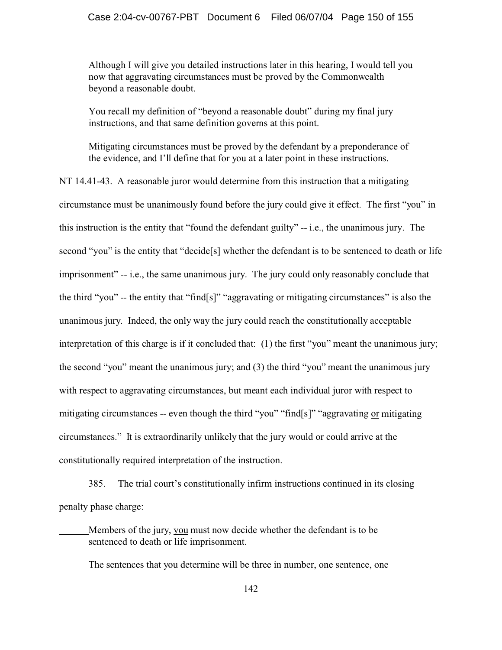Although I will give you detailed instructions later in this hearing, I would tell you now that aggravating circumstances must be proved by the Commonwealth beyond a reasonable doubt.

You recall my definition of "beyond a reasonable doubt" during my final jury instructions, and that same definition governs at this point.

Mitigating circumstances must be proved by the defendant by a preponderance of the evidence, and I'll define that for you at a later point in these instructions.

NT 14.41-43. A reasonable juror would determine from this instruction that a mitigating circumstance must be unanimously found before the jury could give it effect. The first "you" in this instruction is the entity that "found the defendant guilty" -- i.e., the unanimous jury. The second "you" is the entity that "decide[s] whether the defendant is to be sentenced to death or life imprisonment" -- i.e., the same unanimous jury. The jury could only reasonably conclude that the third "you" -- the entity that "find[s]" "aggravating or mitigating circumstances" is also the unanimous jury. Indeed, the only way the jury could reach the constitutionally acceptable interpretation of this charge is if it concluded that: (1) the first "you" meant the unanimous jury; the second "you" meant the unanimous jury; and (3) the third "you" meant the unanimous jury with respect to aggravating circumstances, but meant each individual juror with respect to mitigating circumstances -- even though the third "you" "find[s]" "aggravating or mitigating circumstances." It is extraordinarily unlikely that the jury would or could arrive at the constitutionally required interpretation of the instruction.

385. The trial court's constitutionally infirm instructions continued in its closing penalty phase charge:

Members of the jury, you must now decide whether the defendant is to be sentenced to death or life imprisonment.

The sentences that you determine will be three in number, one sentence, one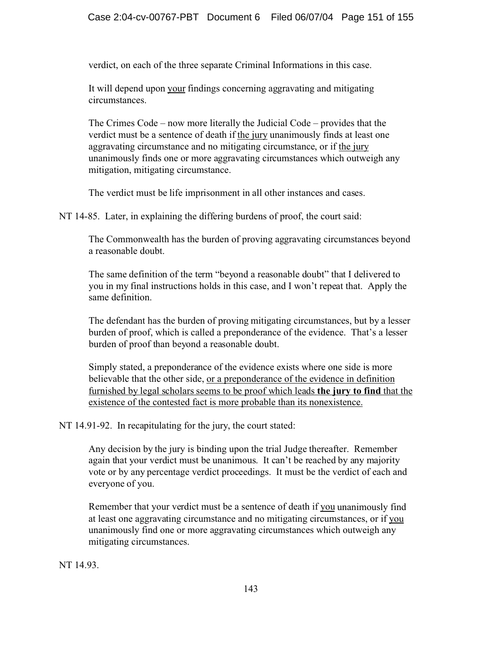verdict, on each of the three separate Criminal Informations in this case.

It will depend upon your findings concerning aggravating and mitigating circumstances.

The Crimes Code – now more literally the Judicial Code – provides that the verdict must be a sentence of death if the jury unanimously finds at least one aggravating circumstance and no mitigating circumstance, or if the jury unanimously finds one or more aggravating circumstances which outweigh any mitigation, mitigating circumstance.

The verdict must be life imprisonment in all other instances and cases.

NT 14-85. Later, in explaining the differing burdens of proof, the court said:

The Commonwealth has the burden of proving aggravating circumstances beyond a reasonable doubt.

The same definition of the term "beyond a reasonable doubt" that I delivered to you in my final instructions holds in this case, and I won't repeat that. Apply the same definition.

The defendant has the burden of proving mitigating circumstances, but by a lesser burden of proof, which is called a preponderance of the evidence. That's a lesser burden of proof than beyond a reasonable doubt.

Simply stated, a preponderance of the evidence exists where one side is more believable that the other side, or a preponderance of the evidence in definition furnished by legal scholars seems to be proof which leads **the jury to find** that the existence of the contested fact is more probable than its nonexistence.

NT 14.91-92. In recapitulating for the jury, the court stated:

Any decision by the jury is binding upon the trial Judge thereafter. Remember again that your verdict must be unanimous. It can't be reached by any majority vote or by any percentage verdict proceedings. It must be the verdict of each and everyone of you.

Remember that your verdict must be a sentence of death if you unanimously find at least one aggravating circumstance and no mitigating circumstances, or if you unanimously find one or more aggravating circumstances which outweigh any mitigating circumstances.

NT 14.93.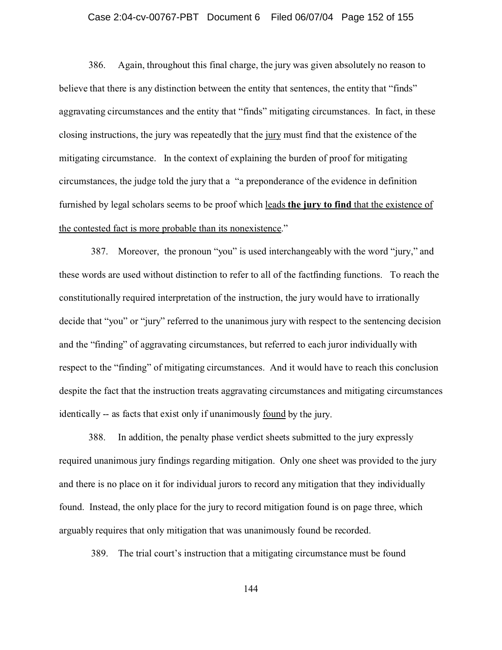#### Case 2:04-cv-00767-PBT Document 6 Filed 06/07/04 Page 152 of 155

386. Again, throughout this final charge, the jury was given absolutely no reason to believe that there is any distinction between the entity that sentences, the entity that "finds" aggravating circumstances and the entity that "finds" mitigating circumstances. In fact, in these closing instructions, the jury was repeatedly that the jury must find that the existence of the mitigating circumstance. In the context of explaining the burden of proof for mitigating circumstances, the judge told the jury that a "a preponderance of the evidence in definition furnished by legal scholars seems to be proof which leads **the jury to find** that the existence of the contested fact is more probable than its nonexistence."

 387. Moreover, the pronoun "you" is used interchangeably with the word "jury," and these words are used without distinction to refer to all of the factfinding functions. To reach the constitutionally required interpretation of the instruction, the jury would have to irrationally decide that "you" or "jury" referred to the unanimous jury with respect to the sentencing decision and the "finding" of aggravating circumstances, but referred to each juror individually with respect to the "finding" of mitigating circumstances. And it would have to reach this conclusion despite the fact that the instruction treats aggravating circumstances and mitigating circumstances identically -- as facts that exist only if unanimously found by the jury.

388. In addition, the penalty phase verdict sheets submitted to the jury expressly required unanimous jury findings regarding mitigation. Only one sheet was provided to the jury and there is no place on it for individual jurors to record any mitigation that they individually found. Instead, the only place for the jury to record mitigation found is on page three, which arguably requires that only mitigation that was unanimously found be recorded.

389. The trial court's instruction that a mitigating circumstance must be found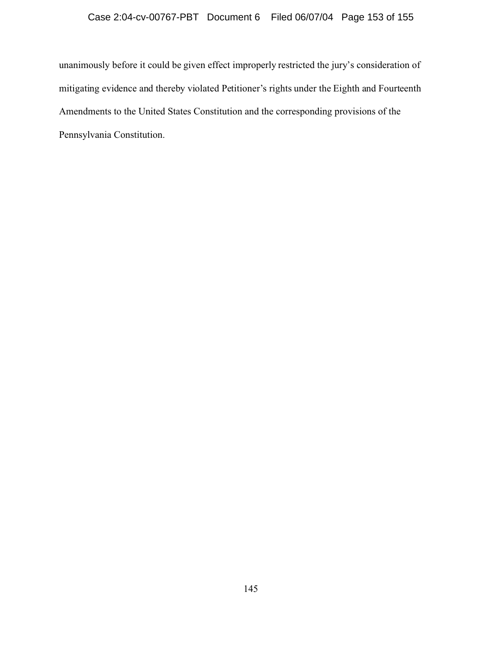unanimously before it could be given effect improperly restricted the jury's consideration of mitigating evidence and thereby violated Petitioner's rights under the Eighth and Fourteenth Amendments to the United States Constitution and the corresponding provisions of the Pennsylvania Constitution.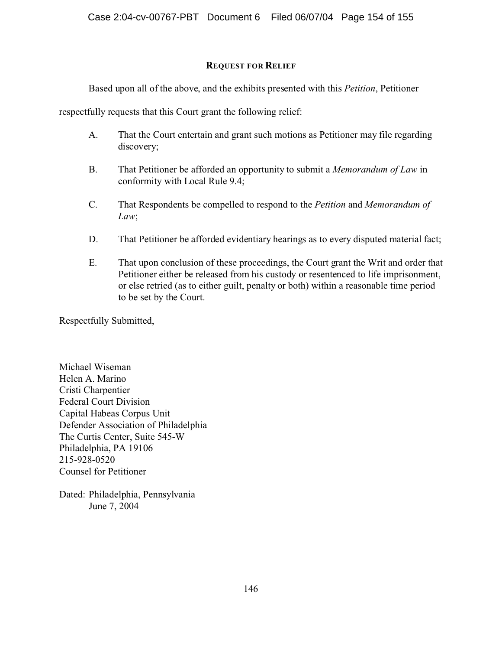### **REQUEST FOR RELIEF**

Based upon all of the above, and the exhibits presented with this *Petition*, Petitioner

respectfully requests that this Court grant the following relief:

- A. That the Court entertain and grant such motions as Petitioner may file regarding discovery;
- B. That Petitioner be afforded an opportunity to submit a *Memorandum of Law* in conformity with Local Rule 9.4;
- C. That Respondents be compelled to respond to the *Petition* and *Memorandum of Law*;
- D. That Petitioner be afforded evidentiary hearings as to every disputed material fact;
- E. That upon conclusion of these proceedings, the Court grant the Writ and order that Petitioner either be released from his custody or resentenced to life imprisonment, or else retried (as to either guilt, penalty or both) within a reasonable time period to be set by the Court.

Respectfully Submitted,

Michael Wiseman Helen A. Marino Cristi Charpentier Federal Court Division Capital Habeas Corpus Unit Defender Association of Philadelphia The Curtis Center, Suite 545-W Philadelphia, PA 19106 215-928-0520 Counsel for Petitioner

Dated: Philadelphia, Pennsylvania June 7, 2004